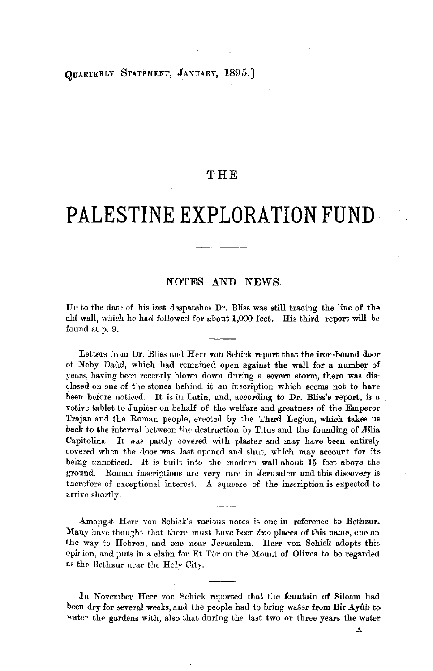## OTTARTERLY STATEMENT, JANUARY, 1895.]

## **THE**

# **PALESTINE EXPLORATION FUND**

#### NOTES AND NEWS.

UP to the date of his last despatches Dr. Bliss was still tracing the line of the old wall, which he had followed for about 1,000 feet. His third report will be found at p. 9.

Letters from Dr. Bliss and Herr von Schick report that the iron-bound door of Neby Daud, which had remained open against the wall for a number of years, having been recently blown down during a severe storm, there was disclosed on one of the stones behind it an inscription which seems not to have been before noticed. It is in Latin, and, according to Dr. Bliss's report, is a votive tablet to Jupiter on behalf of the welfare and greatness of the Emperor Trajan and the Roman people, erected by the Third Legion, which takes us back to the interval between the destruction by Titus and the founding of Alia Capitolina. It was partly covered with plaster and may have been entirely covered when the door was last opened and shut, which may account for its being unnoticed. It is built into the modern wall about 15 feet above the ground. Roman inscriptions are very rare in Jerusalem and this discovery is therefore of cxceptional interest. A squeeze of the inscription is expected to arrive shortly.

Amongst Herr vou Schick's various notes is one in reference to Bethzur. Many have thought that there must have been *two* places of this name, one on the way to Hebron, and one near Jerusalem. Herr von Schick adopts this opinion, and puts in a claim for Flt Tor on the Mount of Olives to be regarded as the Bcthzur near the Holy City.

In November Herr von Schick reported that the fountain of Siloam had been dry for several weeks, and the people had to bring water from Bir Ayub to water the gardens with, also that during the last two or three years the water

A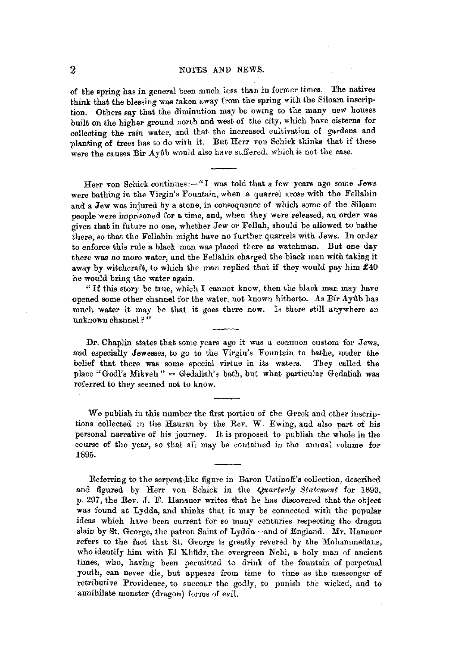#### 2 NOTES AND NEWS.

of the spring has in general been much less than in former times. The natives think that the blessing was taken away from the spring with the Siloam inscription. Others say that the diminution may be owmg to the many new houses built on the higher ground north and west of the city, which have cisterns for oolleoting the rain water, and that the increased cultivation of gardens and planting of trees has to do with it. But Herr von Schick thinks that if these were the causes Bir Ayûb would also have suffered, which is not the case.

Herr von Schick continues:-" I was told that a few years ago some Jews were bathing in the Virgin's Fountain, when a quarrel arose with the Fellahin and a Jew was injured by a stone, in consequence of which some of the Siloam people were imprisoned for a time, and, when they were released, an order was given that in future no one, whether Jew or Fellah, should be allowed to bathe there, so that the Fellahin might have no further quarrels with Jews. In order to enforce this rule a black man was placed there as watchman. But one day there was no more water, and the Fellahin charged the black man with taking it away by witchcraft, to which the man replied that if they would pay him £40 he would bring the water again.

"I£ this story be true, which I cannot know, then the black man may have opened some other channel for the water, not known hitherto. As Bir Ayub has much water it may be that it goes there now. Is there still anywhere an unknown channel?"

Dr. Chaplin states that some years ago it was a common custom for Jews, and especially Jewesses, to go to the Virgin's Fountain to bathe, under the belief that there was some special virtue in its waters. They called the place "Godl's Mikveh" = Gedaliah's bath, but what particular Gedaliah was referred to they seemed not to know.

We publish in this number the first portion of the Greek and other inscriptions collected in the Rauran by the Rev. W. Ewing, and also part of his personal narrative of his journey. It is proposed to publish the whole in the course of the year, so that all may be contained in the annual volume for 1895.

Referring to the serpent-like figure in Baron Ustinoff's collection, described and figured by Herr von Schick in the *Quarterly Statement* for 1893, p. 297, the Rev. J. E. Hanauer writes that he has discovered that the object was found at Lydda, and thinks that it may be connected with the popular ideas which have been current for so many centuries respecting the dragon slain by St. George, the patron Saint of Lydda-and of England. Mr. Hanauer refers to the fact that St. George is greatly revered by the Mohammedans, who identify him with El Khüdr, the evergreen Nebi, a holy man of ancient times, who, having been permitted to drink of the fountain of perpetual youth, can never die, but appears from time to time as the messenger of retributive Providence, to succour the godly, to punish the wicked, and to annihilate monster (dragon) forms of evil.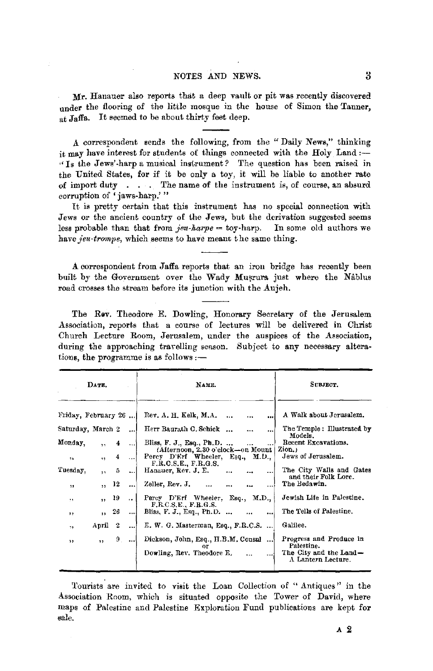#### NOTES AND NEWS. 3

Mr. Hanauer also reports that a deep vault or pit was recently discovered under the flooring of the little mosque in the house of Simon the Tanner.  $\overline{\text{at}}$  Jaffa. It seemed to be about thirty feet deep.

A. correspondent sends the following, from the "Daily News," thinking it may have interest for students of things connected with the Holy Land :-" Is the Jews'-harp a musical instrument? The question has been raised in the United States, for if it be only a toy, it will be liable to another rate of import duty  $\ldots$  The name of the instrument is, of course, an absurd corruption of 'jaws-harp.'"

It **is** pretty certain that this instrument has no special connection with Jews or the ancient country of the Jews, but the derivation suggested seems less probable than that from  $\text{j}eu\text{-}harpe = \text{toy} \text{-}harp.$  In some old authors we have jeu-trompe, which seems to have meant the same thing.

**A.** correspondent from Jaffa reports that an iron bridge has recently been built by the Government over the Wady Musrura just where the Nablus road crosses the stream before its junction with the Aujeh.

The Rev. Theodore E. Dowling, Honorary Secretary of the Jerusalem Association, reports that a course of lectures will be delivered in Christ Church Lecture Room, Jerusalem, under the auspices of the Association, during the approaching travelling season. Subject to any necessary alterations, the programme is as follows: $-$ 

| DATE.<br>Friday, February 26 |                          |    |                      | NAME.                                                                                                  | SUBJECT.<br>A Walk about Jerusalem.                                                   |
|------------------------------|--------------------------|----|----------------------|--------------------------------------------------------------------------------------------------------|---------------------------------------------------------------------------------------|
|                              |                          |    |                      | Rev. A. H. Kelk, M.A.<br>$\ddotsc$<br>$\ddotsc$<br>$\ddotsc$                                           |                                                                                       |
| Saturday, March 2            |                          |    |                      | Herr Baurath C. Schick<br><br>                                                                         | The Temple: Illustrated by<br>Models.                                                 |
| Monday,                      | $\ddot{\phantom{a}}$     | 4  | $\ddotsc$            | Bliss, F. J., Esq., Ph.D.                                                                              | Recent Excavations.                                                                   |
| 11                           | $\ddot{\phantom{1}}$     | 4  | $\ddotsc$            | (Afternoon, 2.30 o'clock-on Mount   Zion.)<br>Percy D'Erf Wheeler, Esq., M.D.,<br>F.R.O.S.E., F.R.G.S. | Jews of Jerusalem.                                                                    |
| Tuesday,                     | $\overline{\phantom{a}}$ | õ  |                      | Hanauer, Rev. J. E.<br>$\cdots$                                                                        | The City Walls and Gates                                                              |
| $\mathbf{H}$                 | 55.                      | 12 | $\cdots$             | Zeller, Rev. J.                                                                                        | and their Folk Lore.<br>The Bedawin.                                                  |
| 1.5                          | $\overline{\phantom{a}}$ | 19 | $\ddot{\phantom{a}}$ | Percy D'Erf Wheeler, Esq., M.D.,<br>F.R.C.S.E., F.R.G.S.                                               | Jewish Life in Palestine.                                                             |
| 5.5                          | <b>A</b> 1               | 26 |                      | Bliss, F. J., Esq., Ph.D. ,<br>$\cdots$<br>$\cdots$                                                    | The Tells of Palestine.                                                               |
| 79                           | April 2                  |    |                      | E. W. G. Masterman, Esq., F.R.C.S.                                                                     | Galilee.                                                                              |
| , 1                          | $\overline{\mathbf{z}}$  | 9. |                      | Dickson, John, Esq., H.B.M. Consul<br>or<br>Dowling, Rev. Theodore E.<br>                              | Progress and Produce in<br>Palestine.<br>The City and the Land-<br>A Lantern Lecture. |

Tourists are invited to visit the Loan Collection of " Antiques" in the Association Room, which is situated opposite the Tower of David, where maps of Palestine and Palestine Exploration Fund publications are kept for sale.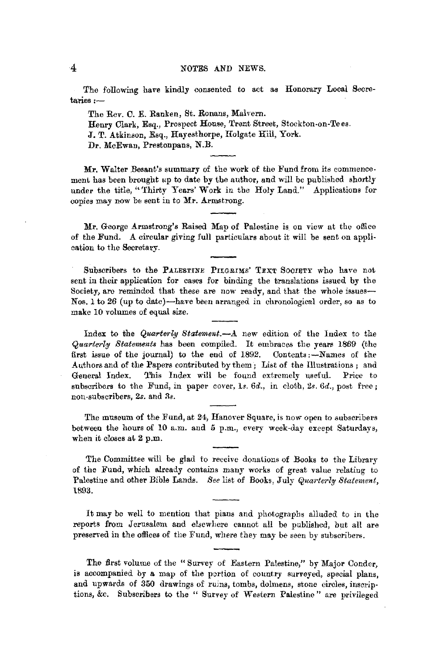The following have kindly consented to act as Honorary Local Secretaries:-

The Rev. C. E. Ranken, St. Ronans, Malvern. Henry Clark, Esq., Prospect House, Trent Street, Stockton-on-Tees. J. T. Atkinson, Esq., Hayesthorpe, Holgate Hill, York. Dr. McEwan, Prestonpans, **N.B.** 

Mr. Walter Besant's summary of the work of the Fund from its commencement has been brought up to date by the author, and will be published shortly under the title, "'fhirty Years' Work in the Holy Land." Applications for copies may now be sent in to **Mr.** Armstrong.

**Mr.** George Armstrong's Raised Map of Palestine is on view at the office of the Fund. A circular giving full particulars about it will be sent on application to the Secretary.

Subscribers to the PALESTINE PILGRIMS' TEXT SOCIETY who have not sent in their application for cases for binding the translations issued by the Society, are reminded that these are now ready, and that the whole issues-Nos. 1 to 26 (up to date)-have been arranged in chronological order, so as to make 10 volumes of equal size.

Index to the *Quarterly Statement.-A* new edition of the Index to the *Quarterly Statements* has been compiled. It embraces the years 1869 (the first issue of the journal) to the end of 1892. Contents :--Names of the Authors and of the Papers contributed by them; List of the Illustrations; and General Index. This Index will be found extremely useful. Price to subscribers to the Fund, in paper cover, ls. *6d.,* in cloth, *2s. 6d.,* post free; non-subscribers, 2s. and 3s.

The museum of the Fund, at 24, Hanover Square, is now open to subscribers between the hours of 10 a.m. and 6 p.m., every week-day except Saturdays, when it closes at 2 p.m.

The Committee will be glad to receive donations of Books to the Library of the Fund, which already contains many works of great value relating to Palestine and other Bible Lands. See list of Books, July *Quarterly Statement*, U\93.

It may be well to mention that plans and photographs alluded to in the reports from Jerusalem and elsewhere cannot all be published, but all are preserved in the offices of the Fund, where they may be seen by subscribers.

The first volume of the "Survey of Eastern Palestine," by Major Conder, is accompanied by a map of the portion of country surveyed, special plans, and upwards of 360 drawings of ruins, tombs, dolmens, stone circles, inscrip· tions, &c. Subscribers to the " Survey of Western Palestine" are privileged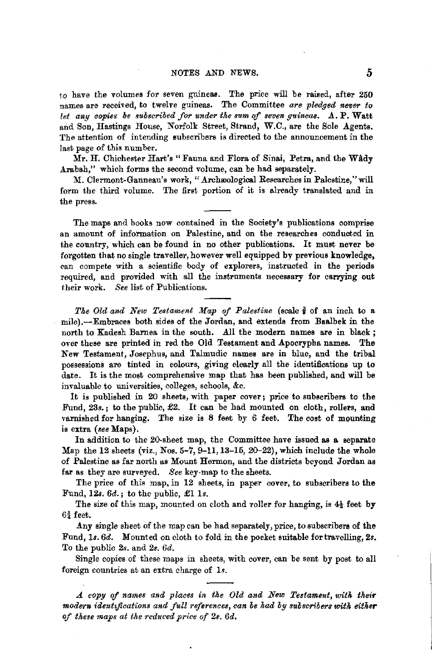to have the volumes for seven guineas. The price will be raised, after 250 names are received, to twelve guineas. The Committee *are pledged never to*  let any copies be subscribed for under the sum of seven quineas, A. P. Watt and Son, Hastings House, Norfolk Street, Strand, W.C., are the Sole Agents. The attention of intending subscribers is directed to the announcement in the last page of this number.

Mr. H. Chichester Hart's "Fauna and Flora of Sinai, Petra, and the Wady Arabah," which forms the second volume, can be had separately.

M. Clermont-Ganneau's work, "Archæological Researches in Palestine," will form the third volume. The first portion of it is already translated and in the press.

The maps and books now contained in the Society's publications comprise an amount of information on Palestine, and on the researches conducted in the country, which can be found in no other publications. It must never be forgotten that no single traveller, however well equipped by previous knowledge, can compete with a scientific body of explorers, instructed in the periods required, and provided with all the instruments necessary for carrying out their work. See list of Publications.

*The Old and New Testament Map of Palestine* (scale  $\frac{3}{8}$  of an inch to a mile).--Embraces both sides of the Jordan, and extends from Baalbek in the north to Kadesh Barnea in the south. All the modern names are in black; over these are printed in red the Old Testament and Apocrypha names. The New Testament, Josephus, and Talmudic names are in blue, and the tribal possessions are tinted in colours, giving clearly all the identifications up to date. It is the most comprehensive map that has been published, and will be invaluable to universities, colleges, schools, &c.

It is published in 20 sheets, with paper cover; price to subscribers to the Fund, 23s.; to the public, £2. It can be had mounted on cloth, rollers, and varnished for hanging. The size is 8 feet by 6 feet. The cost of mounting is extra *(see* Maps).

In addition to the 20-sheet map, the Committee have issued as a separate Map the 12 sheets (viz., Nos. 5-7, 9-11, 13-15, 20-22), which include the whole of Palestine as far north as Mount Hermon, and the districts beyond Jordan as far as they are surveyed. *See* key-map to the sheets.

The price of this map, in 12 sheets, in paper cover, to subscribers to the Fund, *12s. 6d.;* to the public, £1 ls.

The size of this map, mounted on cloth and roller for hanging, is 4½ feet by  $6\frac{3}{4}$  feet.

Any single sheet of the map can be had separately, price, to subscribers of the Fund, ls. *6d.* Mounted on cloth to fold in the pocket suitable for travelling, *2s.*  To the public *2s.* and *2s. 6d.* 

Single copies of these maps in sheets, with cover, can be sent by post to all foreign countries at an extra charge of 1s.

*A. copy of names and places in the Old and New Testament, with their modern identifications and full references, can be had by suoscribers witk eitker of tkese maps at the reduced price of 2s. 6d.*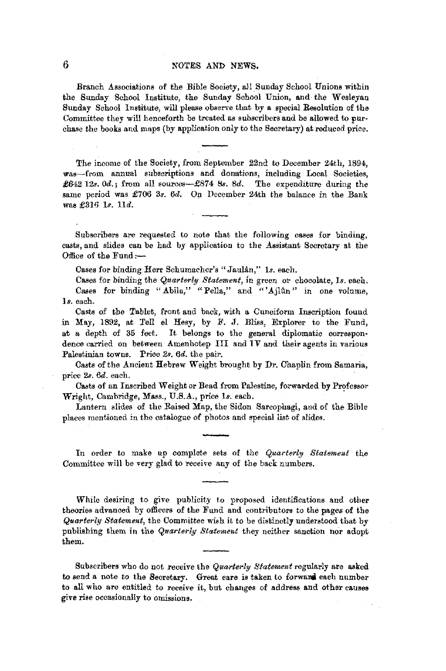## 6 NOTES AND NEWS,

Branch Associations of the Bible Society, all Sunday School Unions within the Sunday School Institute, the Sunday School Union, and the Wesleyan Sunday School Institute, will please observe that by a special Resolution of the Committee they will henceforth be treated as subscribers and he allowed to purchase the books and maps (by application only to the Secretary) at reduced price.

The income of the Society, from September 22nd to December 24th, 1894, was-from annual subscriptions and donations, including Local Societies, £642 12s. 0d.; from all sources-£874 8s. 8d. The expenditure during the same period was £706 3s. 6d. On December 24th the balance in the Bank was £316 ls. lld.

Subscribers are requested to note that the following cases for binding, casts, and slides can be had by application to the Assistant Secretary at the Office of the Fund:-

Oases for binding Herr Schumacher's" Jaulan," *Is.* each.

Cases for binding the *Quarterly Statement*, in green or chocolate, 1s. each, Cases for binding "Abila," "Pella," and "'Ajlûn" in one volume, ls. each.

Casts of the Tablet, front and back, with a Cuneiform Inscription found in May, 1892, at Tell el Hesy, by F. J. Bliss, Explorer to the Fund, at a depth of 35 feet. It belongs to the general diplomatic correspon• dence carried on between Amenhotep III and IV and their agents in various Palestinian towns. Price *2s. 6d.* the pair.

Casts of the Ancient Hebrew Weight brought by Dr. Chaplin from Samaria, price *2s. 6d.* each.

Casts of an Inscribed Weight or Bead from Palestine, forwarded by Professor Wright, Cambridge, Mass., U.S.A., price ls. each. ·

Lantern slides of the Raised Map, the Sidon Sarcophagi, and of the Bible places mentioned in the catalogue of photos and special list of slides.

In order to make up complete sets of the *Quarterly Statement* the Committee will be very glad to receive any of the back numbers.

While desiring to give publicity to proposed identifications and other theories advanced by officers of the Fund and contributors to the pages of the *Quarterly Statement,* the Committee wish it to be distinctly understood that by publishing them in the *Quarterly Statement* they neither sanction nor adopt them.

Subscribers who do not receive the *Quarterly Statement* regularly are asked to send a note to the Secretary. Great care is taken to forward each number to all who are entitled to receive it, but changes of address and other causes give rise occasionally to omissions.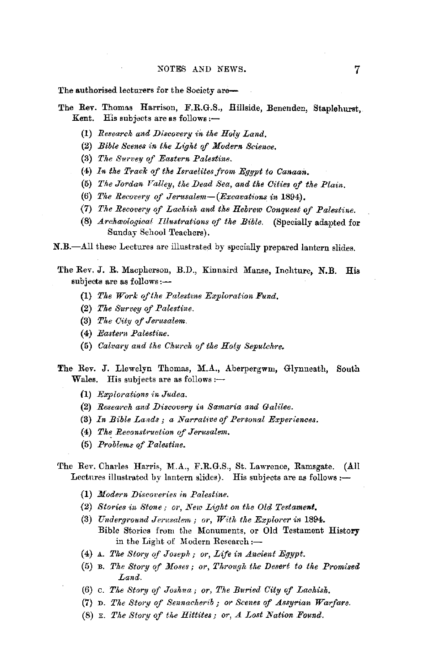The authorised lecturers for the Society are-

- The Rev. Thomas Harrison, F.R.G.S., Hillside, Benenden, Staplehurst, Kent. His subjects are as follows: $-$ 
	- (1) *Researck and Di:scovery in tke Holy Land.*
	- (2) *Bible Scenes in the Light of Modern Science*.
	- (3) The Survey of Eastern Palestine.
	- (4) *In tke Track of tke Israelites from Egypt to Canaan.*
	- (5) The Jordan Valley, the Dead Sea, and the Cities of the Plain.
	- (6) The Recovery of Jerusalem-(Excavations in 1894).
	- (7) *The Recovery of Lackish and the Hebrew Conquest of Palestine.*
	- (8) *Archaeological Illustrations of the Bible.* (Specially adapted for Sunday School Teachers).

N.B.-All these Lectures are illustrated by specially prepared lantern slides.

The Rev. J. R. Macpherson, B.D., Kinnaird Manse, Inchture, N.B. His subjects are as follows:-

- (1) *The Work of the Palestine Exploration Fund,*
- (2) *The Survey of Palestine.*
- (3) *Tke City of Jerusalem.*
- (4) *Eastern Palestine.*
- (5) *Calvary and the Ckurck of tke Holy Sepulchre.*
- The Rev. J. Llewelyn Thomas, M.A., Aberpergwm, Glynneath, South Wales. His subjects are as follows: $-$ 
	- (1) *Explorations in Judea.*
	- (2) *Research and Discovery in Samaria and Galilee.*
	- (3) *In Bible Lands; a Narrat;ve of Personal Experiences.*
	- (4) The Reconstruction of Jerusalem.
	- (5) *Problems of Palestine.*
- The *Rev.* Charles Harris, M.A., F.R.G.S., St. Lawrence, Ramsgate. (All Lectures illustrated by lantern slides). His subjects are as follows: $-$ 
	- {l) *Modern Discoveries in Palestine.*
	- (2) *Stories in Stone; or, New Ligkt on tke Old Testament.*
	- (3) *Underground Jerusalem; or, Witk the Explorer in* 1894. Bible Stories from the Monuments, or Old Testament History in the Light of Modern Research:-
	- ( 4) A. *Tke Story of Joseph; or, Life in Ancient Egypt.*
	- (5) B. *The Story of Moses; or, Through the Desert to the Promised Land.*
	- (6) c. *The Story cif Josk11a; or, The Buried City of Lachisk.*
	- (7) D. *Tke Story of Sennacherib* ; *or Scenes of Assyrian Warfare.*
	- (8) E. *Tke Story of tke Hittites; or, A Lost Nation Found.*